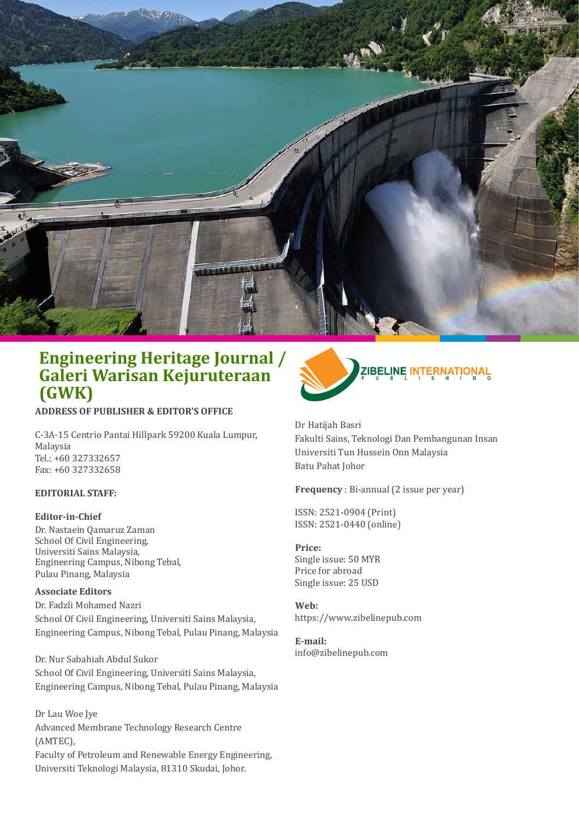

**ADDRESS OF PUBLISHER & EDITOR'S OFFICE**

C-3A-15 Centrio Pantai Hillpark 59200 Kuala Lumpur, Malaysia Tel.: +60 327332657 Fax: +60 327332658

#### **EDITORIAL STAFF:**

#### **Editor-in-Chief**

Dr. Nastaein Qamaruz Zaman School Of Civil Engineering, Universiti Sains Malaysia, Engineering Campus, Nibong Tebal, Pulau Pinang, Malaysia

#### **Associate Editors**

Dr. Fadzli Mohamed Nazri School Of Civil Engineering, Universiti Sains Malaysia, Engineering Campus, Nibong Tebal, Pulau Pinang, Malaysia

Dr. Nur Sabahiah Abdul Sukor School Of Civil Engineering, Universiti Sains Malaysia, Engineering Campus, Nibong Tebal, Pulau Pinang, Malaysia

Dr Lau Woe Jye Advanced Membrane Technology Research Centre (AMTEC), Faculty of Petroleum and Renewable Energy Engineering, Universiti Teknologi Malaysia, 81310 Skudai, Johor.



Dr Hatijah Basri Fakulti Sains, Teknologi Dan Pembangunan Insan Universiti Tun Hussein Onn Malaysia Batu Pahat Johor

**Frequency** : Bi-annual (2 issue per year)

ISSN: 2521-0904 (Print) ISSN: 2521-0440 (online)

### **Price:**

Single issue: 50 MYR Price for abroad Single issue: 25 USD

**Web:** https://www.zibelinepub.com

**E-mail:** info@zibelinepub.com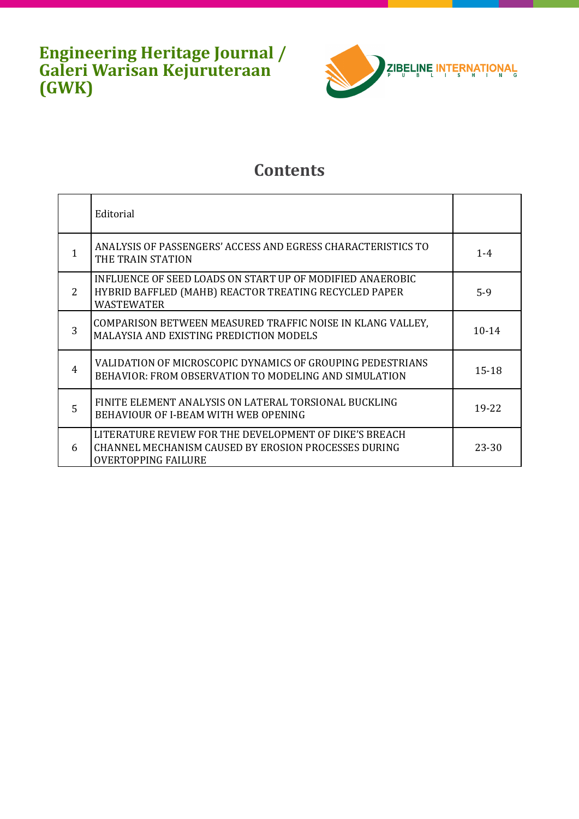

## **Contents**

|   | Editorial                                                                                                                                    |           |
|---|----------------------------------------------------------------------------------------------------------------------------------------------|-----------|
|   | ANALYSIS OF PASSENGERS' ACCESS AND EGRESS CHARACTERISTICS TO<br>THE TRAIN STATION                                                            | $1 - 4$   |
| 2 | INFLUENCE OF SEED LOADS ON START UP OF MODIFIED ANAEROBIC<br>HYBRID BAFFLED (MAHB) REACTOR TREATING RECYCLED PAPER<br>WASTEWATER             | $5-9$     |
| 3 | COMPARISON BETWEEN MEASURED TRAFFIC NOISE IN KLANG VALLEY,<br><b>MALAYSIA AND EXISTING PREDICTION MODELS</b>                                 | $10 - 14$ |
| 4 | VALIDATION OF MICROSCOPIC DYNAMICS OF GROUPING PEDESTRIANS<br>BEHAVIOR: FROM OBSERVATION TO MODELING AND SIMULATION                          | $15 - 18$ |
| 5 | FINITE ELEMENT ANALYSIS ON LATERAL TORSIONAL BUCKLING<br>BEHAVIOUR OF I-BEAM WITH WEB OPENING                                                | 19-22     |
| 6 | LITERATURE REVIEW FOR THE DEVELOPMENT OF DIKE'S BREACH<br>CHANNEL MECHANISM CAUSED BY EROSION PROCESSES DURING<br><b>OVERTOPPING FAILURE</b> | 23-30     |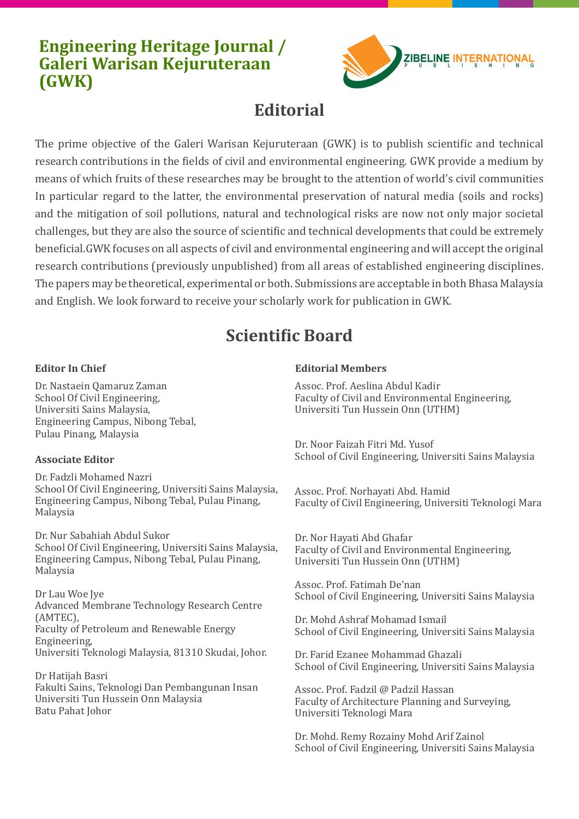

# **Editorial**

The prime objective of the Galeri Warisan Kejuruteraan (GWK) is to publish scientific and technical research contributions in the fields of civil and environmental engineering. GWK provide a medium by means of which fruits of these researches may be brought to the attention of world's civil communities In particular regard to the latter, the environmental preservation of natural media (soils and rocks) and the mitigation of soil pollutions, natural and technological risks are now not only major societal challenges, but they are also the source of scientific and technical developments that could be extremely beneficial.GWK focuses on all aspects of civil and environmental engineering and will accept the original research contributions (previously unpublished) from all areas of established engineering disciplines. The papers may be theoretical, experimental or both. Submissions are acceptable in both Bhasa Malaysia and English. We look forward to receive your scholarly work for publication in GWK.

# **Scientific Board**

### **Editor In Chief**

Dr. Nastaein Qamaruz Zaman School Of Civil Engineering, Universiti Sains Malaysia, Engineering Campus, Nibong Tebal, Pulau Pinang, Malaysia

### **Associate Editor**

Dr. Fadzli Mohamed Nazri School Of Civil Engineering, Universiti Sains Malaysia, Engineering Campus, Nibong Tebal, Pulau Pinang, Malaysia

Dr. Nur Sabahiah Abdul Sukor School Of Civil Engineering, Universiti Sains Malaysia, Engineering Campus, Nibong Tebal, Pulau Pinang, Malaysia

Dr Lau Woe Jye Advanced Membrane Technology Research Centre (AMTEC), Faculty of Petroleum and Renewable Energy Engineering, Universiti Teknologi Malaysia, 81310 Skudai, Johor.

Dr Hatijah Basri Fakulti Sains, Teknologi Dan Pembangunan Insan Universiti Tun Hussein Onn Malaysia Batu Pahat Johor

#### **Editorial Members**

Assoc. Prof. Aeslina Abdul Kadir Faculty of Civil and Environmental Engineering, Universiti Tun Hussein Onn (UTHM)

Dr. Noor Faizah Fitri Md. Yusof School of Civil Engineering, Universiti Sains Malaysia

Assoc. Prof. Norhayati Abd. Hamid Faculty of Civil Engineering, Universiti Teknologi Mara

Dr. Nor Hayati Abd Ghafar Faculty of Civil and Environmental Engineering, Universiti Tun Hussein Onn (UTHM)

Assoc. Prof. Fatimah De'nan School of Civil Engineering, Universiti Sains Malaysia

Dr. Mohd Ashraf Mohamad Ismail School of Civil Engineering, Universiti Sains Malaysia

Dr. Farid Ezanee Mohammad Ghazali School of Civil Engineering, Universiti Sains Malaysia

Assoc. Prof. Fadzil @ Padzil Hassan Faculty of Architecture Planning and Surveying, Universiti Teknologi Mara

Dr. Mohd. Remy Rozainy Mohd Arif Zainol School of Civil Engineering, Universiti Sains Malaysia